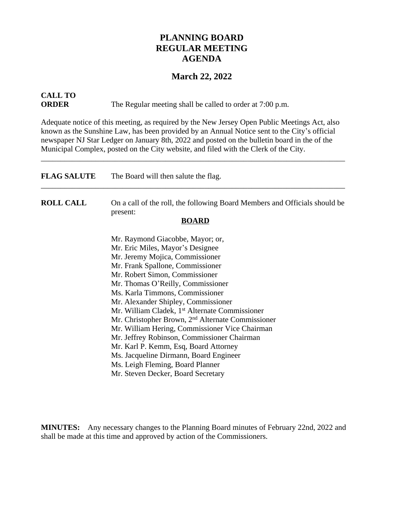## **PLANNING BOARD REGULAR MEETING AGENDA**

### **March 22, 2022**

# **CALL TO**

**ORDER** The Regular meeting shall be called to order at 7:00 p.m.

Adequate notice of this meeting, as required by the New Jersey Open Public Meetings Act, also known as the Sunshine Law, has been provided by an Annual Notice sent to the City's official newspaper NJ Star Ledger on January 8th, 2022 and posted on the bulletin board in the of the Municipal Complex, posted on the City website, and filed with the Clerk of the City.

\_\_\_\_\_\_\_\_\_\_\_\_\_\_\_\_\_\_\_\_\_\_\_\_\_\_\_\_\_\_\_\_\_\_\_\_\_\_\_\_\_\_\_\_\_\_\_\_\_\_\_\_\_\_\_\_\_\_\_\_\_\_\_\_\_\_\_\_\_\_\_\_\_\_\_\_\_\_

| <b>FLAG SALUTE</b> | The Board will then salute the flag.                                                   |
|--------------------|----------------------------------------------------------------------------------------|
| <b>ROLL CALL</b>   | On a call of the roll, the following Board Members and Officials should be<br>present: |
|                    | <b>BOARD</b>                                                                           |
|                    | Mr. Raymond Giacobbe, Mayor; or,                                                       |
|                    | Mr. Eric Miles, Mayor's Designee                                                       |
|                    | Mr. Jeremy Mojica, Commissioner                                                        |
|                    | Mr. Frank Spallone, Commissioner                                                       |
|                    | Mr. Robert Simon, Commissioner                                                         |
|                    | Mr. Thomas O'Reilly, Commissioner                                                      |
|                    | Ms. Karla Timmons, Commissioner                                                        |
|                    | Mr. Alexander Shipley, Commissioner                                                    |
|                    | Mr. William Cladek, 1 <sup>st</sup> Alternate Commissioner                             |
|                    | Mr. Christopher Brown, 2 <sup>nd</sup> Alternate Commissioner                          |
|                    | Mr. William Hering, Commissioner Vice Chairman                                         |
|                    | Mr. Jeffrey Robinson, Commissioner Chairman                                            |
|                    | Mr. Karl P. Kemm, Esq, Board Attorney                                                  |
|                    | Ms. Jacqueline Dirmann, Board Engineer                                                 |
|                    | Ms. Leigh Fleming, Board Planner                                                       |
|                    | Mr. Steven Decker, Board Secretary                                                     |

**MINUTES:** Any necessary changes to the Planning Board minutes of February 22nd, 2022 and shall be made at this time and approved by action of the Commissioners.